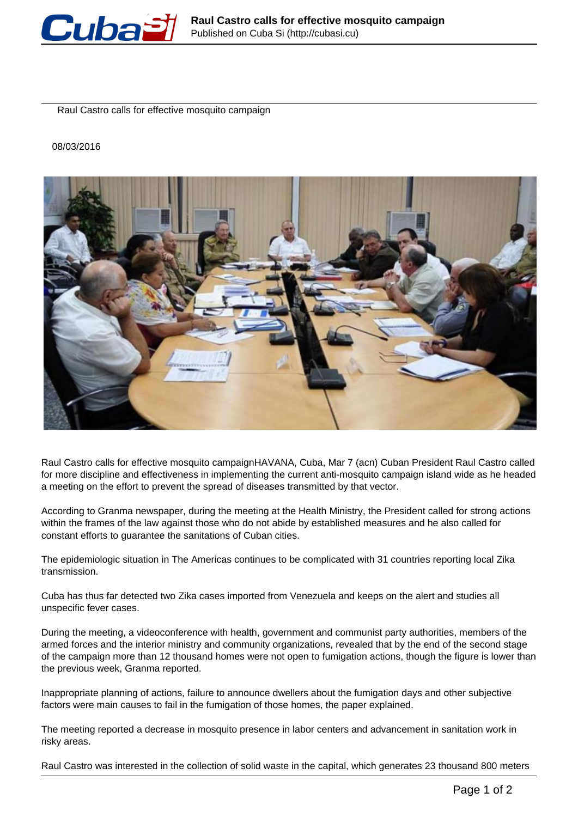

Raul Castro calls for effective mosquito campaign

## 08/03/2016



Raul Castro calls for effective mosquito campaignHAVANA, Cuba, Mar 7 (acn) Cuban President Raul Castro called for more discipline and effectiveness in implementing the current anti-mosquito campaign island wide as he headed a meeting on the effort to prevent the spread of diseases transmitted by that vector.

According to Granma newspaper, during the meeting at the Health Ministry, the President called for strong actions within the frames of the law against those who do not abide by established measures and he also called for constant efforts to guarantee the sanitations of Cuban cities.

The epidemiologic situation in The Americas continues to be complicated with 31 countries reporting local Zika transmission.

Cuba has thus far detected two Zika cases imported from Venezuela and keeps on the alert and studies all unspecific fever cases.

During the meeting, a videoconference with health, government and communist party authorities, members of the armed forces and the interior ministry and community organizations, revealed that by the end of the second stage of the campaign more than 12 thousand homes were not open to fumigation actions, though the figure is lower than the previous week, Granma reported.

Inappropriate planning of actions, failure to announce dwellers about the fumigation days and other subjective factors were main causes to fail in the fumigation of those homes, the paper explained.

The meeting reported a decrease in mosquito presence in labor centers and advancement in sanitation work in risky areas.

Raul Castro was interested in the collection of solid waste in the capital, which generates 23 thousand 800 meters